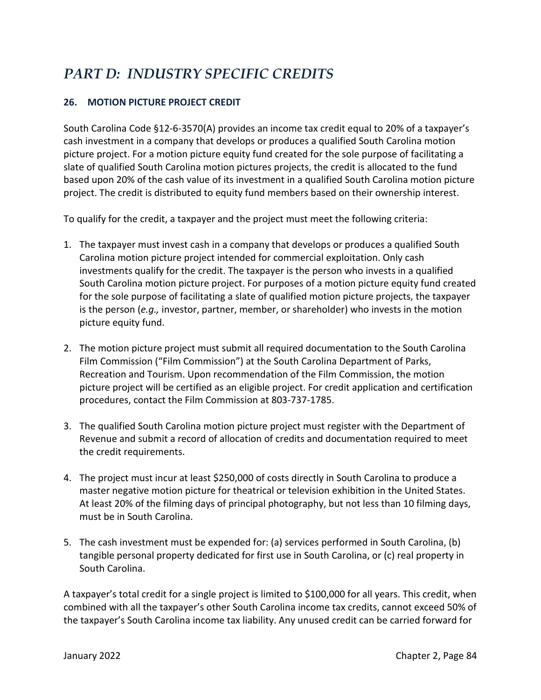# *PART D: INDUSTRY SPECIFIC CREDITS*

# **26. MOTION PICTURE PROJECT CREDIT**

South Carolina Code §12-6-3570(A) provides an income tax credit equal to 20% of a taxpayer's cash investment in a company that develops or produces a qualified South Carolina motion picture project. For a motion picture equity fund created for the sole purpose of facilitating a slate of qualified South Carolina motion pictures projects, the credit is allocated to the fund based upon 20% of the cash value of its investment in a qualified South Carolina motion picture project. The credit is distributed to equity fund members based on their ownership interest.

To qualify for the credit, a taxpayer and the project must meet the following criteria:

- 1. The taxpayer must invest cash in a company that develops or produces a qualified South Carolina motion picture project intended for commercial exploitation. Only cash investments qualify for the credit. The taxpayer is the person who invests in a qualified South Carolina motion picture project. For purposes of a motion picture equity fund created for the sole purpose of facilitating a slate of qualified motion picture projects, the taxpayer is the person (*e.g.,* investor, partner, member, or shareholder) who invests in the motion picture equity fund.
- 2. The motion picture project must submit all required documentation to the South Carolina Film Commission ("Film Commission") at the South Carolina Department of Parks, Recreation and Tourism. Upon recommendation of the Film Commission, the motion picture project will be certified as an eligible project. For credit application and certification procedures, contact the Film Commission at 803-737-1785.
- 3. The qualified South Carolina motion picture project must register with the Department of Revenue and submit a record of allocation of credits and documentation required to meet the credit requirements.
- 4. The project must incur at least \$250,000 of costs directly in South Carolina to produce a master negative motion picture for theatrical or television exhibition in the United States. At least 20% of the filming days of principal photography, but not less than 10 filming days, must be in South Carolina.
- 5. The cash investment must be expended for: (a) services performed in South Carolina, (b) tangible personal property dedicated for first use in South Carolina, or (c) real property in South Carolina.

A taxpayer's total credit for a single project is limited to \$100,000 for all years. This credit, when combined with all the taxpayer's other South Carolina income tax credits, cannot exceed 50% of the taxpayer's South Carolina income tax liability. Any unused credit can be carried forward for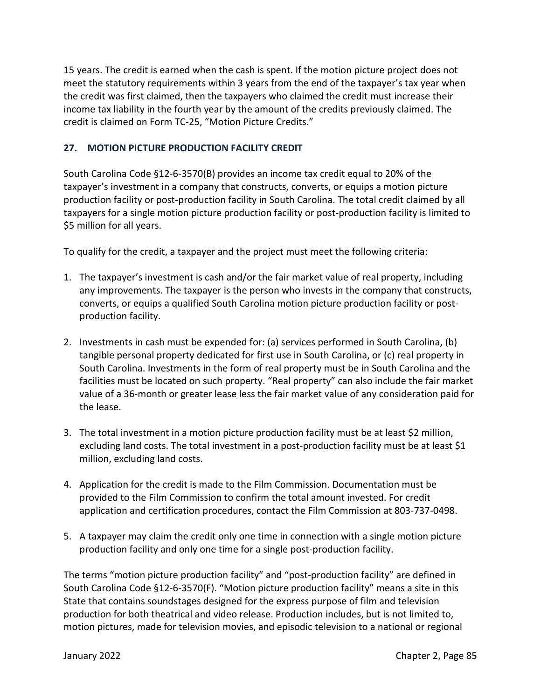15 years. The credit is earned when the cash is spent. If the motion picture project does not meet the statutory requirements within 3 years from the end of the taxpayer's tax year when the credit was first claimed, then the taxpayers who claimed the credit must increase their income tax liability in the fourth year by the amount of the credits previously claimed. The credit is claimed on Form TC-25, "Motion Picture Credits."

# **27. MOTION PICTURE PRODUCTION FACILITY CREDIT**

South Carolina Code §12-6-3570(B) provides an income tax credit equal to 20% of the taxpayer's investment in a company that constructs, converts, or equips a motion picture production facility or post-production facility in South Carolina. The total credit claimed by all taxpayers for a single motion picture production facility or post-production facility is limited to \$5 million for all years.

To qualify for the credit, a taxpayer and the project must meet the following criteria:

- 1. The taxpayer's investment is cash and/or the fair market value of real property, including any improvements. The taxpayer is the person who invests in the company that constructs, converts, or equips a qualified South Carolina motion picture production facility or postproduction facility.
- 2. Investments in cash must be expended for: (a) services performed in South Carolina, (b) tangible personal property dedicated for first use in South Carolina, or (c) real property in South Carolina. Investments in the form of real property must be in South Carolina and the facilities must be located on such property. "Real property" can also include the fair market value of a 36-month or greater lease less the fair market value of any consideration paid for the lease.
- 3. The total investment in a motion picture production facility must be at least \$2 million, excluding land costs. The total investment in a post-production facility must be at least \$1 million, excluding land costs.
- 4. Application for the credit is made to the Film Commission. Documentation must be provided to the Film Commission to confirm the total amount invested. For credit application and certification procedures, contact the Film Commission at 803-737-0498.
- 5. A taxpayer may claim the credit only one time in connection with a single motion picture production facility and only one time for a single post-production facility.

The terms "motion picture production facility" and "post-production facility" are defined in South Carolina Code §12-6-3570(F). "Motion picture production facility" means a site in this State that contains soundstages designed for the express purpose of film and television production for both theatrical and video release. Production includes, but is not limited to, motion pictures, made for television movies, and episodic television to a national or regional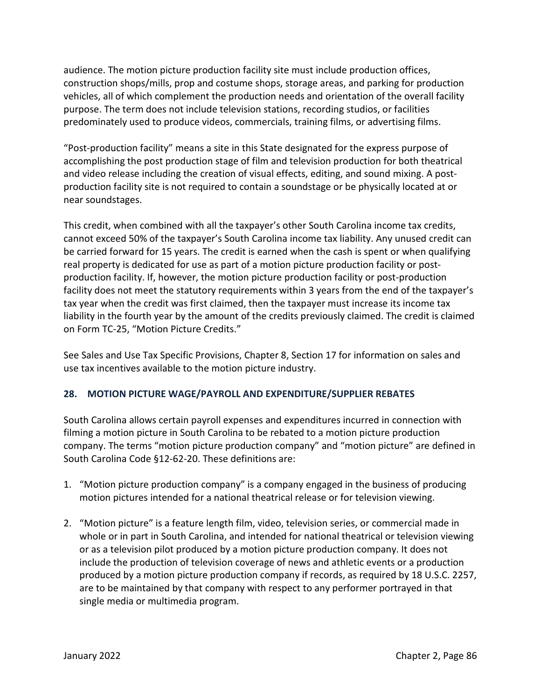audience. The motion picture production facility site must include production offices, construction shops/mills, prop and costume shops, storage areas, and parking for production vehicles, all of which complement the production needs and orientation of the overall facility purpose. The term does not include television stations, recording studios, or facilities predominately used to produce videos, commercials, training films, or advertising films.

"Post-production facility" means a site in this State designated for the express purpose of accomplishing the post production stage of film and television production for both theatrical and video release including the creation of visual effects, editing, and sound mixing. A postproduction facility site is not required to contain a soundstage or be physically located at or near soundstages.

This credit, when combined with all the taxpayer's other South Carolina income tax credits, cannot exceed 50% of the taxpayer's South Carolina income tax liability. Any unused credit can be carried forward for 15 years. The credit is earned when the cash is spent or when qualifying real property is dedicated for use as part of a motion picture production facility or postproduction facility. If, however, the motion picture production facility or post-production facility does not meet the statutory requirements within 3 years from the end of the taxpayer's tax year when the credit was first claimed, then the taxpayer must increase its income tax liability in the fourth year by the amount of the credits previously claimed. The credit is claimed on Form TC-25, "Motion Picture Credits."

See Sales and Use Tax Specific Provisions, Chapter 8, Section 17 for information on sales and use tax incentives available to the motion picture industry.

# **28. MOTION PICTURE WAGE/PAYROLL AND EXPENDITURE/SUPPLIER REBATES**

South Carolina allows certain payroll expenses and expenditures incurred in connection with filming a motion picture in South Carolina to be rebated to a motion picture production company. The terms "motion picture production company" and "motion picture" are defined in South Carolina Code §12-62-20. These definitions are:

- 1. "Motion picture production company" is a company engaged in the business of producing motion pictures intended for a national theatrical release or for television viewing.
- 2. "Motion picture" is a feature length film, video, television series, or commercial made in whole or in part in South Carolina, and intended for national theatrical or television viewing or as a television pilot produced by a motion picture production company. It does not include the production of television coverage of news and athletic events or a production produced by a motion picture production company if records, as required by 18 U.S.C. 2257, are to be maintained by that company with respect to any performer portrayed in that single media or multimedia program.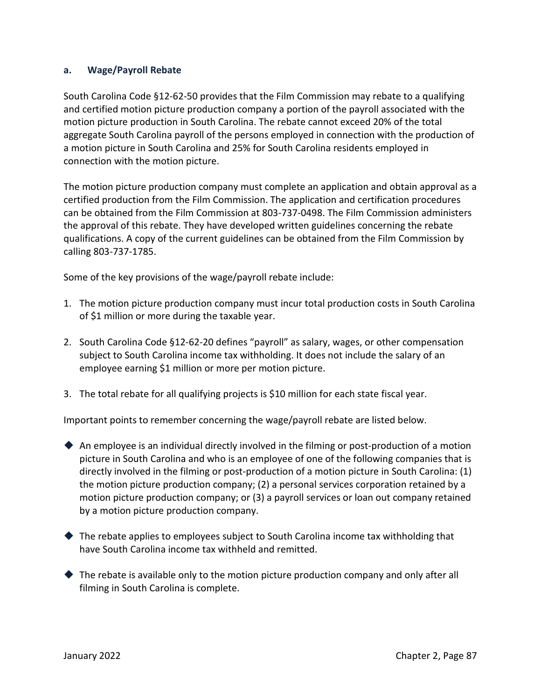#### **a. Wage/Payroll Rebate**

South Carolina Code §12-62-50 provides that the Film Commission may rebate to a qualifying and certified motion picture production company a portion of the payroll associated with the motion picture production in South Carolina. The rebate cannot exceed 20% of the total aggregate South Carolina payroll of the persons employed in connection with the production of a motion picture in South Carolina and 25% for South Carolina residents employed in connection with the motion picture.

The motion picture production company must complete an application and obtain approval as a certified production from the Film Commission. The application and certification procedures can be obtained from the Film Commission at 803-737-0498. The Film Commission administers the approval of this rebate. They have developed written guidelines concerning the rebate qualifications. A copy of the current guidelines can be obtained from the Film Commission by calling 803-737-1785.

Some of the key provisions of the wage/payroll rebate include:

- 1. The motion picture production company must incur total production costs in South Carolina of \$1 million or more during the taxable year.
- 2. South Carolina Code §12-62-20 defines "payroll" as salary, wages, or other compensation subject to South Carolina income tax withholding. It does not include the salary of an employee earning \$1 million or more per motion picture.
- 3. The total rebate for all qualifying projects is \$10 million for each state fiscal year.

Important points to remember concerning the wage/payroll rebate are listed below.

- $\blacklozenge$  An employee is an individual directly involved in the filming or post-production of a motion picture in South Carolina and who is an employee of one of the following companies that is directly involved in the filming or post-production of a motion picture in South Carolina: (1) the motion picture production company; (2) a personal services corporation retained by a motion picture production company; or (3) a payroll services or loan out company retained by a motion picture production company.
- ◆ The rebate applies to employees subject to South Carolina income tax withholding that have South Carolina income tax withheld and remitted.
- $\blacklozenge$  The rebate is available only to the motion picture production company and only after all filming in South Carolina is complete.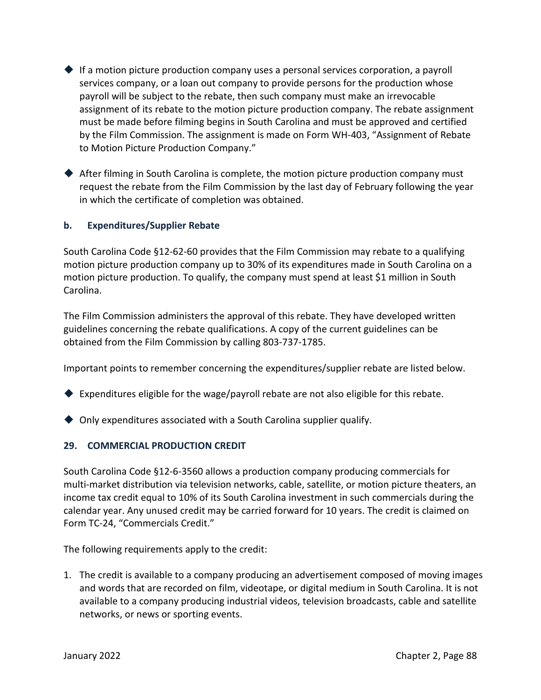- $\blacklozenge$  If a motion picture production company uses a personal services corporation, a payroll services company, or a loan out company to provide persons for the production whose payroll will be subject to the rebate, then such company must make an irrevocable assignment of its rebate to the motion picture production company. The rebate assignment must be made before filming begins in South Carolina and must be approved and certified by the Film Commission. The assignment is made on Form WH-403, "Assignment of Rebate to Motion Picture Production Company."
- After filming in South Carolina is complete, the motion picture production company must request the rebate from the Film Commission by the last day of February following the year in which the certificate of completion was obtained.

#### **b. Expenditures/Supplier Rebate**

South Carolina Code §12-62-60 provides that the Film Commission may rebate to a qualifying motion picture production company up to 30% of its expenditures made in South Carolina on a motion picture production. To qualify, the company must spend at least \$1 million in South Carolina.

The Film Commission administers the approval of this rebate. They have developed written guidelines concerning the rebate qualifications. A copy of the current guidelines can be obtained from the Film Commission by calling 803-737-1785.

Important points to remember concerning the expenditures/supplier rebate are listed below.

- $\blacklozenge$  Expenditures eligible for the wage/payroll rebate are not also eligible for this rebate.
- ◆ Only expenditures associated with a South Carolina supplier qualify.

#### **29. COMMERCIAL PRODUCTION CREDIT**

South Carolina Code §12-6-3560 allows a production company producing commercials for multi-market distribution via television networks, cable, satellite, or motion picture theaters, an income tax credit equal to 10% of its South Carolina investment in such commercials during the calendar year. Any unused credit may be carried forward for 10 years. The credit is claimed on Form TC-24, "Commercials Credit."

The following requirements apply to the credit:

1. The credit is available to a company producing an advertisement composed of moving images and words that are recorded on film, videotape, or digital medium in South Carolina. It is not available to a company producing industrial videos, television broadcasts, cable and satellite networks, or news or sporting events.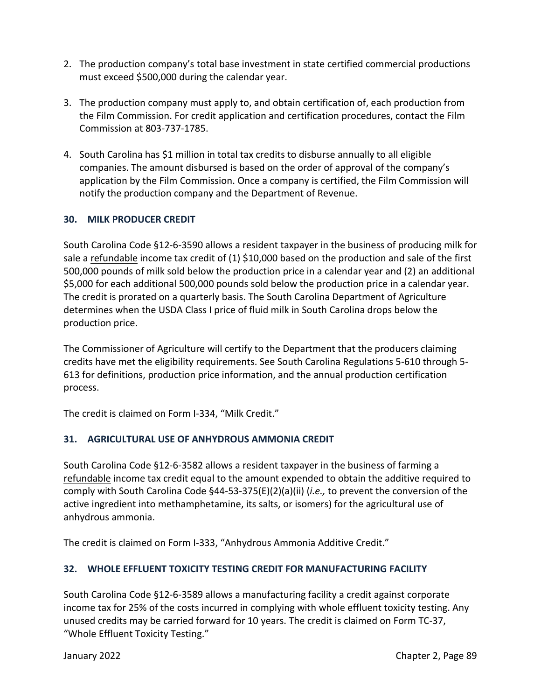- 2. The production company's total base investment in state certified commercial productions must exceed \$500,000 during the calendar year.
- 3. The production company must apply to, and obtain certification of, each production from the Film Commission. For credit application and certification procedures, contact the Film Commission at 803-737-1785.
- 4. South Carolina has \$1 million in total tax credits to disburse annually to all eligible companies. The amount disbursed is based on the order of approval of the company's application by the Film Commission. Once a company is certified, the Film Commission will notify the production company and the Department of Revenue.

# **30. MILK PRODUCER CREDIT**

South Carolina Code §12-6-3590 allows a resident taxpayer in the business of producing milk for sale a refundable income tax credit of (1) \$10,000 based on the production and sale of the first 500,000 pounds of milk sold below the production price in a calendar year and (2) an additional \$5,000 for each additional 500,000 pounds sold below the production price in a calendar year. The credit is prorated on a quarterly basis. The South Carolina Department of Agriculture determines when the USDA Class I price of fluid milk in South Carolina drops below the production price.

The Commissioner of Agriculture will certify to the Department that the producers claiming credits have met the eligibility requirements. See South Carolina Regulations 5-610 through 5- 613 for definitions, production price information, and the annual production certification process.

The credit is claimed on Form I-334, "Milk Credit."

# **31. AGRICULTURAL USE OF ANHYDROUS AMMONIA CREDIT**

South Carolina Code §12-6-3582 allows a resident taxpayer in the business of farming a refundable income tax credit equal to the amount expended to obtain the additive required to comply with South Carolina Code §44-53-375(E)(2)(a)(ii) (*i.e.,* to prevent the conversion of the active ingredient into methamphetamine, its salts, or isomers) for the agricultural use of anhydrous ammonia.

The credit is claimed on Form I-333, "Anhydrous Ammonia Additive Credit."

# **32. WHOLE EFFLUENT TOXICITY TESTING CREDIT FOR MANUFACTURING FACILITY**

South Carolina Code §12-6-3589 allows a manufacturing facility a credit against corporate income tax for 25% of the costs incurred in complying with whole effluent toxicity testing. Any unused credits may be carried forward for 10 years. The credit is claimed on Form TC-37, "Whole Effluent Toxicity Testing."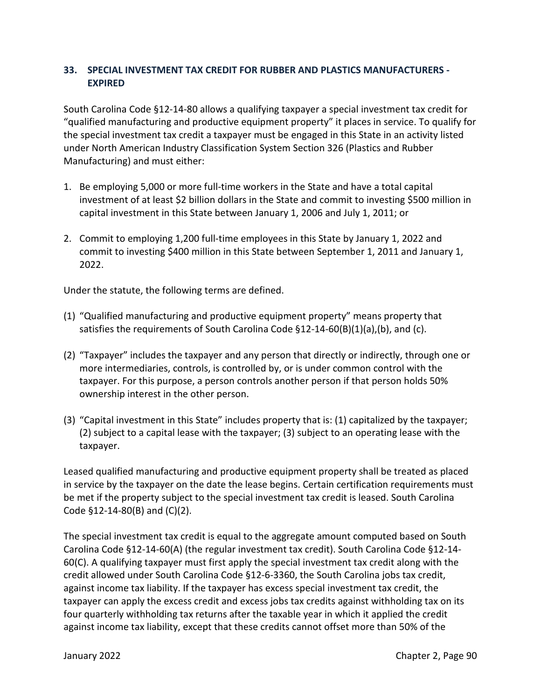### **33. SPECIAL INVESTMENT TAX CREDIT FOR RUBBER AND PLASTICS MANUFACTURERS - EXPIRED**

South Carolina Code §12-14-80 allows a qualifying taxpayer a special investment tax credit for "qualified manufacturing and productive equipment property" it places in service. To qualify for the special investment tax credit a taxpayer must be engaged in this State in an activity listed under North American Industry Classification System Section 326 (Plastics and Rubber Manufacturing) and must either:

- 1. Be employing 5,000 or more full-time workers in the State and have a total capital investment of at least \$2 billion dollars in the State and commit to investing \$500 million in capital investment in this State between January 1, 2006 and July 1, 2011; or
- 2. Commit to employing 1,200 full-time employees in this State by January 1, 2022 and commit to investing \$400 million in this State between September 1, 2011 and January 1, 2022.

Under the statute, the following terms are defined.

- (1) "Qualified manufacturing and productive equipment property" means property that satisfies the requirements of South Carolina Code  $\S$ 12-14-60(B)(1)(a),(b), and (c).
- (2) "Taxpayer" includes the taxpayer and any person that directly or indirectly, through one or more intermediaries, controls, is controlled by, or is under common control with the taxpayer. For this purpose, a person controls another person if that person holds 50% ownership interest in the other person.
- (3) "Capital investment in this State" includes property that is: (1) capitalized by the taxpayer; (2) subject to a capital lease with the taxpayer; (3) subject to an operating lease with the taxpayer.

Leased qualified manufacturing and productive equipment property shall be treated as placed in service by the taxpayer on the date the lease begins. Certain certification requirements must be met if the property subject to the special investment tax credit is leased. South Carolina Code §12-14-80(B) and (C)(2).

The special investment tax credit is equal to the aggregate amount computed based on South Carolina Code §12-14-60(A) (the regular investment tax credit). South Carolina Code §12-14- 60(C). A qualifying taxpayer must first apply the special investment tax credit along with the credit allowed under South Carolina Code §12-6-3360, the South Carolina jobs tax credit, against income tax liability. If the taxpayer has excess special investment tax credit, the taxpayer can apply the excess credit and excess jobs tax credits against withholding tax on its four quarterly withholding tax returns after the taxable year in which it applied the credit against income tax liability, except that these credits cannot offset more than 50% of the